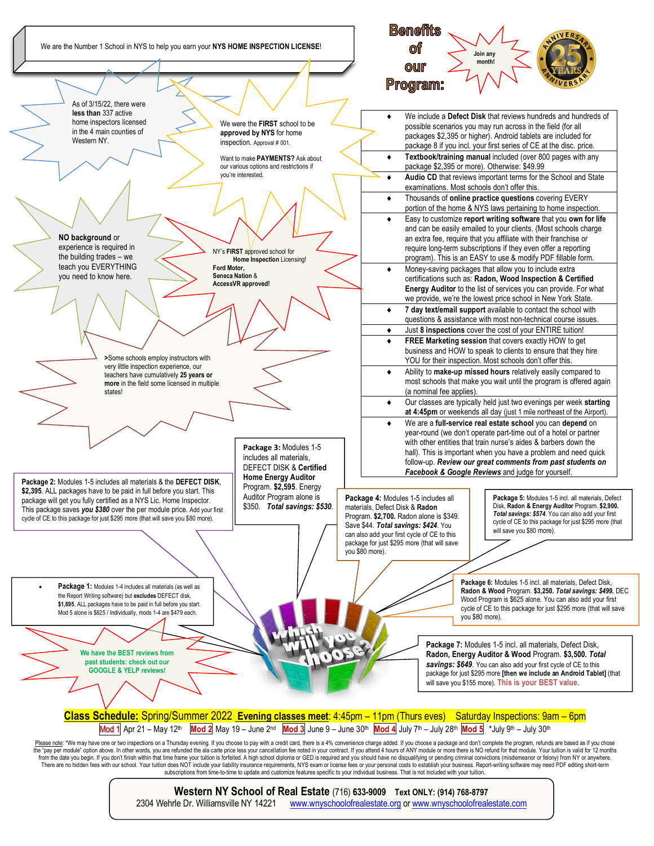

## **Western NY School of Real Estate** (716) **633-9009 Text ONLY: (914) 768-8797**

2304 Wehrle Dr. Williamsville NY 14221 www.wnyschoolofrealestate.org or www.wnyschoolofrealestate.com